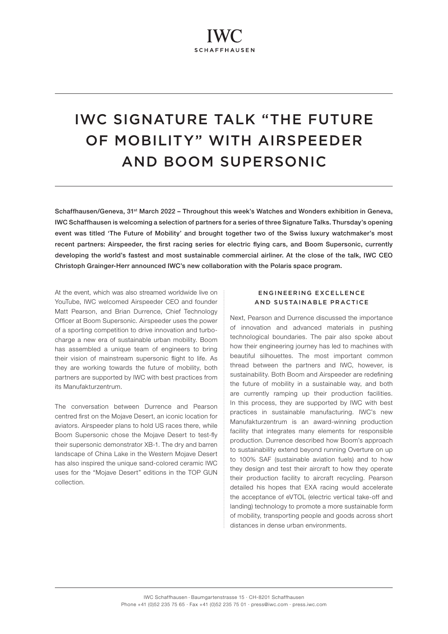# IWC SIGNATURE TALK "THE FUTURE OF MOBILITY" WITH AIRSPEEDER AND BOOM SUPERSONIC

Schaffhausen/Geneva, 31st March 2022 – Throughout this week's Watches and Wonders exhibition in Geneva, IWC Schaffhausen is welcoming a selection of partners for a series of three Signature Talks. Thursday's opening event was titled 'The Future of Mobility' and brought together two of the Swiss luxury watchmaker's most recent partners: Airspeeder, the first racing series for electric flying cars, and Boom Supersonic, currently developing the world's fastest and most sustainable commercial airliner. At the close of the talk, IWC CEO Christoph Grainger-Herr announced IWC's new collaboration with the Polaris space program.

At the event, which was also streamed worldwide live on YouTube, IWC welcomed Airspeeder CEO and founder Matt Pearson, and Brian Durrence, Chief Technology Officer at Boom Supersonic. Airspeeder uses the power of a sporting competition to drive innovation and turbocharge a new era of sustainable urban mobility. Boom has assembled a unique team of engineers to bring their vision of mainstream supersonic flight to life. As they are working towards the future of mobility, both partners are supported by IWC with best practices from its Manufakturzentrum.

The conversation between Durrence and Pearson centred first on the Mojave Desert, an iconic location for aviators. Airspeeder plans to hold US races there, while Boom Supersonic chose the Mojave Desert to test-fly their supersonic demonstrator XB-1. The dry and barren landscape of China Lake in the Western Mojave Desert has also inspired the unique sand-colored ceramic IWC uses for the "Mojave Desert" editions in the TOP GUN collection.

# ENGINEERING EXCELLENCE AND SUSTAINABLE PRACTICE

Next, Pearson and Durrence discussed the importance of innovation and advanced materials in pushing technological boundaries. The pair also spoke about how their engineering journey has led to machines with beautiful silhouettes. The most important common thread between the partners and IWC, however, is sustainability. Both Boom and Airspeeder are redefining the future of mobility in a sustainable way, and both are currently ramping up their production facilities. In this process, they are supported by IWC with best practices in sustainable manufacturing. IWC's new Manufakturzentrum is an award-winning production facility that integrates many elements for responsible production. Durrence described how Boom's approach to sustainability extend beyond running Overture on up to 100% SAF (sustainable aviation fuels) and to how they design and test their aircraft to how they operate their production facility to aircraft recycling. Pearson detailed his hopes that EXA racing would accelerate the acceptance of eVTOL (electric vertical take-off and landing) technology to promote a more sustainable form of mobility, transporting people and goods across short distances in dense urban environments.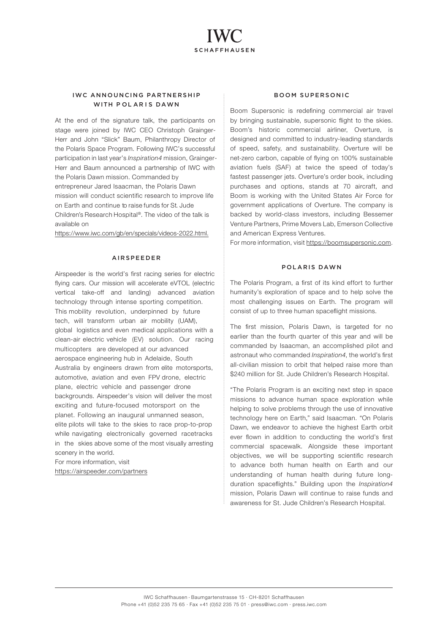# IWC ANNOUNCING PARTNERSHIP WITH POLARIS DAWN

At the end of the signature talk, the participants on stage were joined by IWC CEO Christoph Grainger-Herr and John "Slick" Baum, Philanthropy Director of the Polaris Space Program. Following IWC's successful participation in last year's Inspiration4 mission, Grainger-Herr and Baum announced a partnership of IWC with the Polaris Dawn mission. Commanded by entrepreneur Jared Isaacman, the Polaris Dawn mission will conduct scientific research to improve life on Earth and continue to raise funds for St. Jude Children's Research Hospital ®. The video of the talk is available on

<https://www.iwc.com/gb/en/specials/videos-2022.html>.

### AIRSPEEDER

Airspeeder is the world's first racing series for electric flying cars. Our mission will accelerate eVTOL (electric vertical take-off and landing) advanced aviation technology through intense sporting competition. This mobility revolution, underpinned by future tech, will transform urban air mobility (UAM), global logistics and even medical applications with a clean-air electric vehicle (EV) solution. Our racing multicopters are developed at our advanced aerospace engineering hub in Adelaide, South Australia by engineers drawn from elite motorsports, automotive, aviation and even FPV drone, electric plane, electric vehicle and passenger drone backgrounds. Airspeeder's vision will deliver the most exciting and future-focused motorsport on the planet. Following an inaugural unmanned season, elite pilots will take to the skies to race prop-to-prop while navigating electronically governed racetracks in the skies above some of the most visually arresting scenery in the world.

For more information, visit <https://airspeeder.com/partners>

## BOOM SUPERSONIC

Boom Supersonic is redefining commercial air travel by bringing sustainable, supersonic flight to the skies. Boom's historic commercial airliner, Overture, is designed and committed to industry-leading standards of speed, safety, and sustainability. Overture will be net-zero carbon, capable of flying on 100% sustainable aviation fuels (SAF) at twice the speed of today's fastest passenger jets. Overture's order book, including purchases and options, stands at 70 aircraft, and Boom is working with the United States Air Force for government applications of Overture. The company is backed by world-class investors, including Bessemer Venture Partners, Prime Movers Lab, Emerson Collective and American Express Ventures.

For more information, visit [https://boomsupersonic.com.](https://boomsupersonic.com)

## POLARIS DAWN

The Polaris Program, a first of its kind effort to further humanity's exploration of space and to help solve the most challenging issues on Earth. The program will consist of up to three human spaceflight missions.

The first mission, Polaris Dawn, is targeted for no earlier than the fourth quarter of this year and will be commanded by Isaacman, an accomplished pilot and astronaut who commanded Inspiration4, the world's first all-civilian mission to orbit that helped raise more than \$240 million for St. Jude Children's Research Hospital.

"The Polaris Program is an exciting next step in space missions to advance human space exploration while helping to solve problems through the use of innovative technology here on Earth," said Isaacman. "On Polaris Dawn, we endeavor to achieve the highest Earth orbit ever flown in addition to conducting the world's first commercial spacewalk. Alongside these important objectives, we will be supporting scientific research to advance both human health on Earth and our understanding of human health during future longduration spaceflights." Building upon the *Inspiration4* mission, Polaris Dawn will continue to raise funds and awareness for St. Jude Children's Research Hospital.